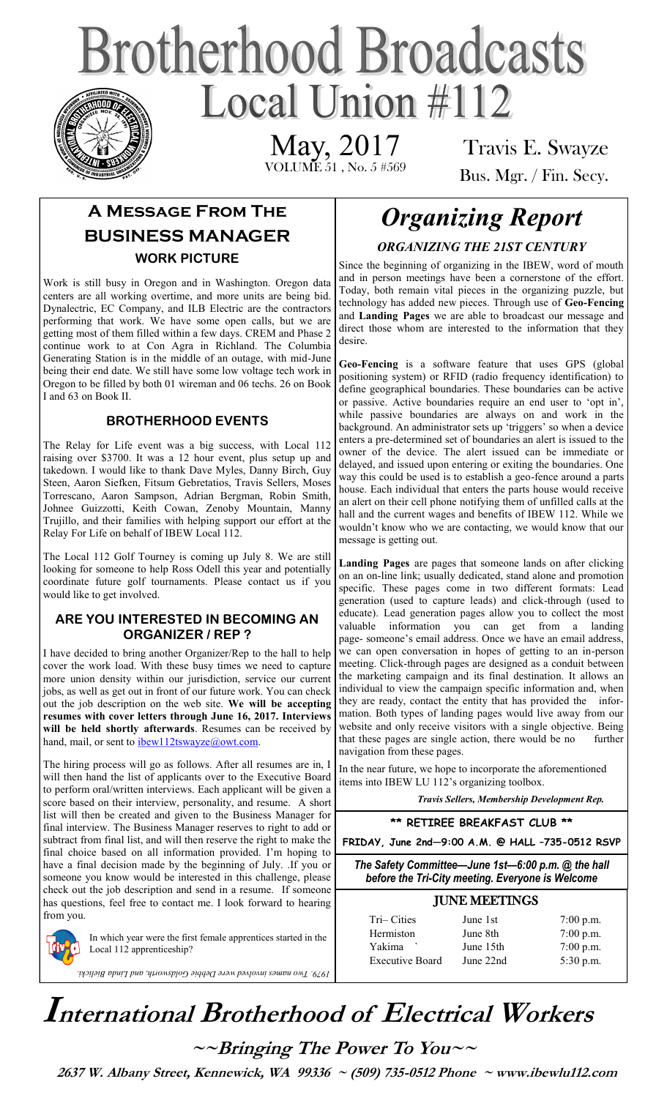# **Brotherhood Broadcasts** Local Union  $\#112$

 VOLUME 51 , No. 5 #569 May, 2017

Travis E. Swayze Bus. Mgr. / Fin. Secy.

## **A Message From The BUSINESS MANAGER WORK PICTURE**

Work is still busy in Oregon and in Washington. Oregon data centers are all working overtime, and more units are being bid. Dynalectric, EC Company, and ILB Electric are the contractors performing that work. We have some open calls, but we are getting most of them filled within a few days. CREM and Phase 2 continue work to at Con Agra in Richland. The Columbia Generating Station is in the middle of an outage, with mid-June being their end date. We still have some low voltage tech work in Oregon to be filled by both 01 wireman and 06 techs. 26 on Book I and 63 on Book II.

### **BROTHERHOOD EVENTS**

The Relay for Life event was a big success, with Local 112 raising over \$3700. It was a 12 hour event, plus setup up and takedown. I would like to thank Dave Myles, Danny Birch, Guy Steen, Aaron Siefken, Fitsum Gebretatios, Travis Sellers, Moses Torrescano, Aaron Sampson, Adrian Bergman, Robin Smith, Johnee Guizzotti, Keith Cowan, Zenoby Mountain, Manny Trujillo, and their families with helping support our effort at the Relay For Life on behalf of IBEW Local 112.

The Local 112 Golf Tourney is coming up July 8. We are still looking for someone to help Ross Odell this year and potentially coordinate future golf tournaments. Please contact us if you would like to get involved.

#### **ARE YOU INTERESTED IN BECOMING AN ORGANIZER / REP ?**

I have decided to bring another Organizer/Rep to the hall to help cover the work load. With these busy times we need to capture more union density within our jurisdiction, service our current jobs, as well as get out in front of our future work. You can check out the job description on the web site. **We will be accepting resumes with cover letters through June 16, 2017. Interviews will be held shortly afterwards**. Resumes can be received by hand, mail, or sent to [ibew112tswayze@owt.com.](mailto:ibew112tswayze@owt.com)

The hiring process will go as follows. After all resumes are in, I will then hand the list of applicants over to the Executive Board to perform oral/written interviews. Each applicant will be given a score based on their interview, personality, and resume. A short list will then be created and given to the Business Manager for final interview. The Business Manager reserves to right to add or subtract from final list, and will then reserve the right to make the final choice based on all information provided. I'm hoping to have a final decision made by the beginning of July. .If you or someone you know would be interested in this challenge, please check out the job description and send in a resume. If someone has questions, feel free to contact me. I look forward to hearing from you.

> In which year were the first female apprentices started in the Local 112 apprenticeship?

> *1979. Two names involved were Debbie Goldsworth, and Linda Bielicki.*

## *Organizing Report ORGANIZING THE 21ST CENTURY*

Since the beginning of organizing in the IBEW, word of mouth and in person meetings have been a cornerstone of the effort. Today, both remain vital pieces in the organizing puzzle, but technology has added new pieces. Through use of **Geo-Fencing** and **Landing Pages** we are able to broadcast our message and direct those whom are interested to the information that they desire.

**Geo-Fencing** is a software feature that uses GPS (global positioning system) or RFID (radio frequency identification) to define geographical boundaries. These boundaries can be active or passive. Active boundaries require an end user to 'opt in', while passive boundaries are always on and work in the background. An administrator sets up 'triggers' so when a device enters a pre-determined set of boundaries an alert is issued to the owner of the device. The alert issued can be immediate or delayed, and issued upon entering or exiting the boundaries. One way this could be used is to establish a geo-fence around a parts house. Each individual that enters the parts house would receive an alert on their cell phone notifying them of unfilled calls at the hall and the current wages and benefits of IBEW 112. While we wouldn't know who we are contacting, we would know that our message is getting out.

**Landing Pages** are pages that someone lands on after clicking on an on-line link; usually dedicated, stand alone and promotion specific. These pages come in two different formats: Lead generation (used to capture leads) and click-through (used to educate). Lead generation pages allow you to collect the most valuable information you can get from a landing page- someone's email address. Once we have an email address, we can open conversation in hopes of getting to an in-person meeting. Click-through pages are designed as a conduit between the marketing campaign and its final destination. It allows an individual to view the campaign specific information and, when they are ready, contact the entity that has provided the information. Both types of landing pages would live away from our website and only receive visitors with a single objective. Being that these pages are single action, there would be no further navigation from these pages.

In the near future, we hope to incorporate the aforementioned items into IBEW LU 112's organizing toolbox.

*Travis Sellers, Membership Development Rep.* 

**\*\* RETIREE BREAKFAST CLUB \*\***

**FRIDAY, June 2nd—9:00 A.M. @ HALL –735-0512 RSVP**

*The Safety Committee—June 1st—6:00 p.m. @ the hall before the Tri-City meeting. Everyone is Welcome* 

| Tri-Cities             | June 1st              | $7:00$ p.m.                |
|------------------------|-----------------------|----------------------------|
| Hermiston<br>Yakima    | June 8th<br>June 15th | $7:00$ p.m.<br>$7:00$ p.m. |
| <b>Executive Board</b> | June 22nd             | $5:30$ p.m.                |

## **International Brotherhood of <sup>E</sup>lectrical Workers**

**~~Bringing The Power To You~~** 

 **2637 W. Albany Street, Kennewick, WA 99336 ~ (509) 735-0512 Phone ~ www.ibewlu112.com**